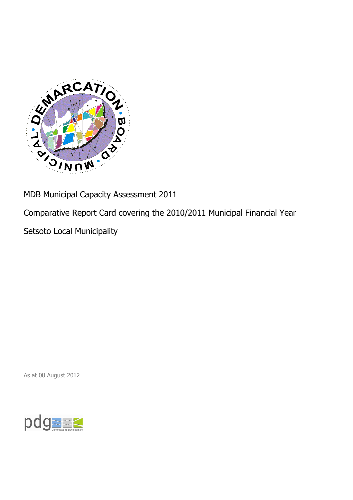

MDB Municipal Capacity Assessment 2011

Comparative Report Card covering the 2010/2011 Municipal Financial Year

Setsoto Local Municipality

As at 08 August 2012

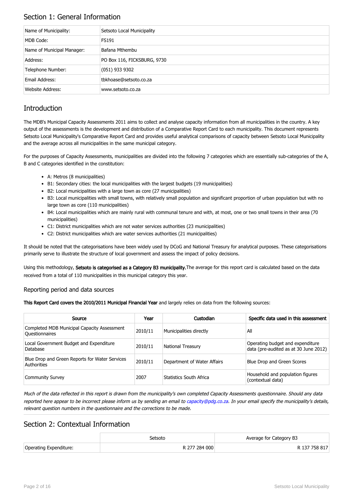## Section 1: General Information

| Name of Municipality:      | Setsoto Local Municipality  |
|----------------------------|-----------------------------|
| MDB Code:                  | FS191                       |
| Name of Municipal Manager: | Bafana Mthembu              |
| Address:                   | PO Box 116, FICKSBURG, 9730 |
| Telephone Number:          | $(051)$ 933 9302            |
| Email Address:             | tbkhoase@setsoto.co.za      |
| Website Address:           | www.setsoto.co.za           |

## **Introduction**

The MDB's Municipal Capacity Assessments 2011 aims to collect and analyse capacity information from all municipalities in the country. A key output of the assessments is the development and distribution of a Comparative Report Card to each municipality. This document represents Setsoto Local Municipality's Comparative Report Card and provides useful analytical comparisons of capacity between Setsoto Local Municipality and the average across all municipalities in the same municipal category.

For the purposes of Capacity Assessments, municipalities are divided into the following 7 categories which are essentially sub-categories of the A, B and C categories identified in the constitution:

- A: Metros (8 municipalities)
- B1: Secondary cities: the local municipalities with the largest budgets (19 municipalities)
- B2: Local municipalities with a large town as core (27 municipalities)
- B3: Local municipalities with small towns, with relatively small population and significant proportion of urban population but with no large town as core (110 municipalities)
- B4: Local municipalities which are mainly rural with communal tenure and with, at most, one or two small towns in their area (70 municipalities)
- C1: District municipalities which are not water services authorities (23 municipalities)
- C2: District municipalities which are water services authorities (21 municipalities)

It should be noted that the categorisations have been widely used by DCoG and National Treasury for analytical purposes. These categorisations primarily serve to illustrate the structure of local government and assess the impact of policy decisions.

Using this methodology, Setsoto is categorised as a Category B3 municipality. The average for this report card is calculated based on the data received from a total of 110 municipalities in this municipal category this year.

### Reporting period and data sources

This Report Card covers the 2010/2011 Municipal Financial Year and largely relies on data from the following sources:

| Source                                                               | Year    | Custodian                   | Specific data used in this assessment                                     |
|----------------------------------------------------------------------|---------|-----------------------------|---------------------------------------------------------------------------|
| Completed MDB Municipal Capacity Assessment<br><b>Ouestionnaires</b> | 2010/11 | Municipalities directly     | All                                                                       |
| Local Government Budget and Expenditure<br>Database                  | 2010/11 | <b>National Treasury</b>    | Operating budget and expenditure<br>data (pre-audited as at 30 June 2012) |
| Blue Drop and Green Reports for Water Services<br>Authorities        | 2010/11 | Department of Water Affairs | Blue Drop and Green Scores                                                |
| <b>Community Survey</b>                                              | 2007    | Statistics South Africa     | Household and population figures<br>(contextual data)                     |

Much of the data reflected in this report is drawn from the municipality's own completed Capacity Assessments questionnaire. Should any data reported here appear to be incorrect please inform us by sending an email to [capacity@pdg.co.za](mailto:capacity@pdg.co.za). In your email specify the municipality's details, relevant question numbers in the questionnaire and the corrections to be made.

### Section 2: Contextual Information

|                        | Setsoto       | Average for Category B3 |
|------------------------|---------------|-------------------------|
| Operating Expenditure: | R 277 284 000 | R 137 758 817           |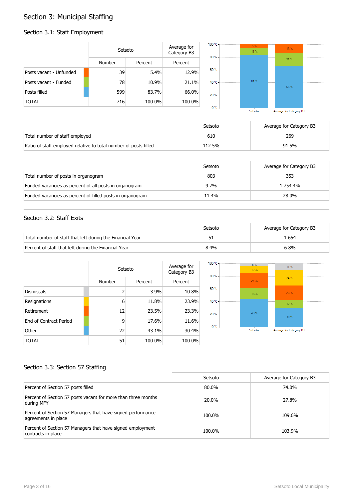## Section 3: Municipal Staffing

## Section 3.1: Staff Employment

|                         | Setsoto       |         | Average for<br>Category B3 | 100 % -<br>80% | 5%<br>$11 \%$ | 13.% |  |
|-------------------------|---------------|---------|----------------------------|----------------|---------------|------|--|
|                         | <b>Number</b> | Percent | Percent                    |                |               | 21%  |  |
| Posts vacant - Unfunded | 39            | 5.4%    | 12.9%                      | $60% -$        |               |      |  |
| Posts vacant - Funded   | 78            | 10.9%   | 21.1%                      | 40 % -         | 84%           | 66%  |  |
| Posts filled            | 599           | 83.7%   | 66.0%                      | 20%            |               |      |  |
| <b>TOTAL</b>            | 716           | 100.0%  | 100.0%                     | $0\%$          |               |      |  |

Average for Category B3 Setsoto

|                                                                  | Setsoto | Average for Category B3 |
|------------------------------------------------------------------|---------|-------------------------|
| Total number of staff employed                                   | 610     | 269                     |
| Ratio of staff employed relative to total number of posts filled | 112.5%  | 91.5%                   |

|                                                           | Setsoto | Average for Category B3 |
|-----------------------------------------------------------|---------|-------------------------|
| Total number of posts in organogram                       | 803     | 353                     |
| Funded vacancies as percent of all posts in organogram    | $9.7\%$ | 1 754.4%                |
| Funded vacancies as percent of filled posts in organogram | 11.4%   | 28.0%                   |

### Section 3.2: Staff Exits

|                                                           | Setsoto | Average for Category B3 |
|-----------------------------------------------------------|---------|-------------------------|
| Total number of staff that left during the Financial Year |         | . 654                   |
| Percent of staff that left during the Financial Year      | 8.4%    | $6.8\%$                 |

|                               |                | Setsoto |         |  |
|-------------------------------|----------------|---------|---------|--|
|                               | Number         | Percent | Percent |  |
| <b>Dismissals</b>             | $\overline{2}$ | 3.9%    | 10.8%   |  |
| Resignations                  | 6              | 11.8%   | 23.9%   |  |
| Retirement                    | 12             | 23.5%   | 23.3%   |  |
| <b>Fnd of Contract Period</b> | 9              | 17.6%   | 11.6%   |  |
| Other                         | 22             | 43.1%   | 30.4%   |  |
| TOTAL                         | 51             | 100.0%  | 100.0%  |  |



### Section 3.3: Section 57 Staffing

|                                                                                    | Setsoto | Average for Category B3 |
|------------------------------------------------------------------------------------|---------|-------------------------|
| Percent of Section 57 posts filled                                                 | 80.0%   | 74.0%                   |
| Percent of Section 57 posts vacant for more than three months<br>during MFY        | 20.0%   | 27.8%                   |
| Percent of Section 57 Managers that have signed performance<br>agreements in place | 100.0%  | 109.6%                  |
| Percent of Section 57 Managers that have signed employment<br>contracts in place   | 100.0%  | 103.9%                  |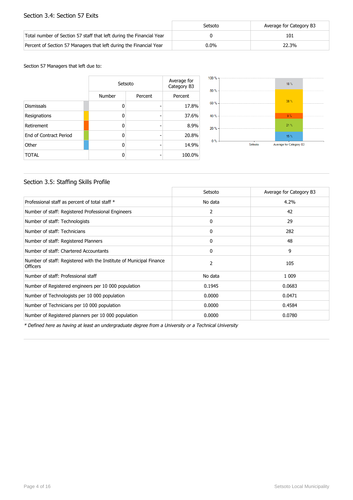### Section 3.4: Section 57 Exits

|                                                                      | Setsoto | Average for Category B3 |
|----------------------------------------------------------------------|---------|-------------------------|
| Total number of Section 57 staff that left during the Financial Year |         | 101                     |
| Percent of Section 57 Managers that left during the Financial Year   | $0.0\%$ | 22.3%                   |

Section 57 Managers that left due to:

|                        | Setsoto | Average for<br>Category B3 |         |
|------------------------|---------|----------------------------|---------|
|                        | Number  | Percent                    | Percent |
| <b>Dismissals</b>      | n       |                            | 17.8%   |
| Resignations           | n       |                            | 37.6%   |
| Retirement             | ŋ       |                            | 8.9%    |
| End of Contract Period | n       |                            | 20.8%   |
| Other                  | n       |                            | 14.9%   |
| <b>TOTAL</b>           |         |                            | 100.0%  |



### Section 3.5: Staffing Skills Profile

|                                                                                        | Setsoto      | Average for Category B3 |
|----------------------------------------------------------------------------------------|--------------|-------------------------|
| Professional staff as percent of total staff *                                         | No data      | 4.2%                    |
| Number of staff: Registered Professional Engineers                                     | 2            | 42                      |
| Number of staff: Technologists                                                         | 0            | 29                      |
| Number of staff: Technicians                                                           | $\mathbf{0}$ | 282                     |
| Number of staff: Registered Planners                                                   | 0            | 48                      |
| Number of staff: Chartered Accountants                                                 | $\mathbf{0}$ | 9                       |
| Number of staff: Registered with the Institute of Municipal Finance<br><b>Officers</b> | 2            | 105                     |
| Number of staff: Professional staff                                                    | No data      | 1 0 0 9                 |
| Number of Registered engineers per 10 000 population                                   | 0.1945       | 0.0683                  |
| Number of Technologists per 10 000 population                                          | 0.0000       | 0.0471                  |
| Number of Technicians per 10 000 population                                            | 0.0000       | 0.4584                  |
| Number of Registered planners per 10 000 population                                    | 0.0000       | 0.0780                  |

\* Defined here as having at least an undergraduate degree from a University or a Technical University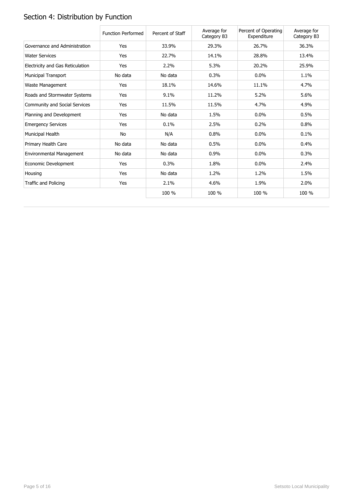# Section 4: Distribution by Function

|                                  | <b>Function Performed</b> | Percent of Staff | Average for<br>Category B3 | Percent of Operating<br>Expenditure | Average for<br>Category B3 |
|----------------------------------|---------------------------|------------------|----------------------------|-------------------------------------|----------------------------|
| Governance and Administration    | Yes                       | 33.9%            | 29.3%                      | 26.7%                               | 36.3%                      |
| <b>Water Services</b>            | Yes                       | 22.7%            | 14.1%                      | 28.8%                               | 13.4%                      |
| Electricity and Gas Reticulation | Yes                       | 2.2%             | 5.3%                       | 20.2%                               | 25.9%                      |
| <b>Municipal Transport</b>       | No data                   | No data          | 0.3%                       | $0.0\%$                             | 1.1%                       |
| Waste Management                 | Yes                       | 18.1%            | 14.6%                      | 11.1%                               | 4.7%                       |
| Roads and Stormwater Systems     | Yes                       | 9.1%             | 11.2%                      | 5.2%                                | 5.6%                       |
| Community and Social Services    | Yes                       | 11.5%            | 11.5%                      | 4.7%                                | 4.9%                       |
| Planning and Development         | Yes                       | No data          | 1.5%                       | 0.0%                                | 0.5%                       |
| <b>Emergency Services</b>        | Yes                       | 0.1%             | 2.5%                       | 0.2%                                | 0.8%                       |
| Municipal Health                 | <b>No</b>                 | N/A              | 0.8%                       | $0.0\%$                             | 0.1%                       |
| Primary Health Care              | No data                   | No data          | 0.5%                       | $0.0\%$                             | 0.4%                       |
| Environmental Management         | No data                   | No data          | 0.9%                       | $0.0\%$                             | 0.3%                       |
| Economic Development             | Yes                       | 0.3%             | 1.8%                       | 0.0%                                | 2.4%                       |
| Housing                          | Yes                       | No data          | 1.2%                       | 1.2%                                | 1.5%                       |
| Traffic and Policing             | Yes                       | 2.1%             | 4.6%                       | 1.9%                                | 2.0%                       |
|                                  |                           | 100 %            | 100 %                      | 100 %                               | 100 %                      |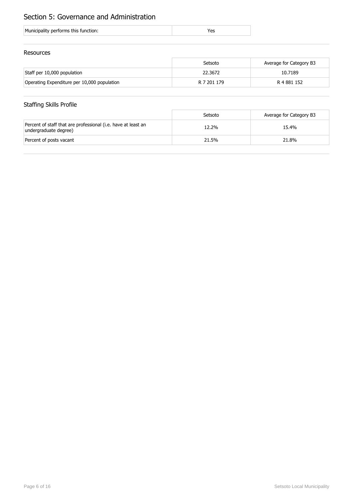## Section 5: Governance and Administration

| Municipality performs this function: |  |
|--------------------------------------|--|
|                                      |  |

### Resources

|                                             | Setsoto     | Average for Category B3 |
|---------------------------------------------|-------------|-------------------------|
| Staff per 10,000 population                 | 22.3672     | 10.7189                 |
| Operating Expenditure per 10,000 population | R 7 201 179 | R 4 881 152             |

## Staffing Skills Profile

|                                                                                        | Setsoto | Average for Category B3 |
|----------------------------------------------------------------------------------------|---------|-------------------------|
| Percent of staff that are professional (i.e. have at least an<br>undergraduate degree) | 12.2%   | 15.4%                   |
| Percent of posts vacant                                                                | 21.5%   | 21.8%                   |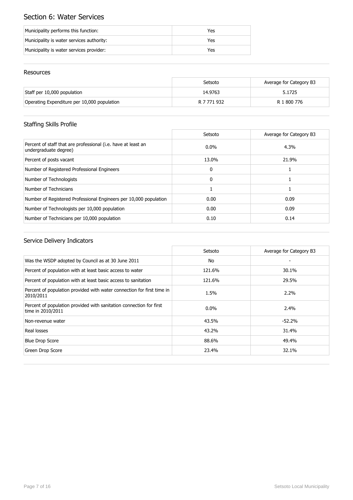## Section 6: Water Services

| Municipality performs this function:      | Yes |
|-------------------------------------------|-----|
| Municipality is water services authority: | Yes |
| Municipality is water services provider:  | Yes |

### Resources

|                                             | Setsoto     | Average for Category B3 |
|---------------------------------------------|-------------|-------------------------|
| Staff per 10,000 population                 | 14.9763     | 5.1725                  |
| Operating Expenditure per 10,000 population | R 7 771 932 | R 1 800 776             |

## Staffing Skills Profile

|                                                                                        | Setsoto      | Average for Category B3 |
|----------------------------------------------------------------------------------------|--------------|-------------------------|
| Percent of staff that are professional (i.e. have at least an<br>undergraduate degree) | $0.0\%$      | 4.3%                    |
| Percent of posts vacant                                                                | 13.0%        | 21.9%                   |
| Number of Registered Professional Engineers                                            | $\mathbf{0}$ |                         |
| Number of Technologists                                                                | $\Omega$     |                         |
| Number of Technicians                                                                  |              |                         |
| Number of Registered Professional Engineers per 10,000 population                      | 0.00         | 0.09                    |
| Number of Technologists per 10,000 population                                          | 0.00         | 0.09                    |
| Number of Technicians per 10,000 population                                            | 0.10         | 0.14                    |

|                                                                                          | Setsoto | Average for Category B3 |
|------------------------------------------------------------------------------------------|---------|-------------------------|
| Was the WSDP adopted by Council as at 30 June 2011                                       | No      |                         |
| Percent of population with at least basic access to water                                | 121.6%  | 30.1%                   |
| Percent of population with at least basic access to sanitation                           | 121.6%  | 29.5%                   |
| Percent of population provided with water connection for first time in<br>2010/2011      | 1.5%    | $2.2\%$                 |
| Percent of population provided with sanitation connection for first<br>time in 2010/2011 | $0.0\%$ | $2.4\%$                 |
| Non-revenue water                                                                        | 43.5%   | $-52.2%$                |
| Real losses                                                                              | 43.2%   | 31.4%                   |
| <b>Blue Drop Score</b>                                                                   | 88.6%   | 49.4%                   |
| Green Drop Score                                                                         | 23.4%   | 32.1%                   |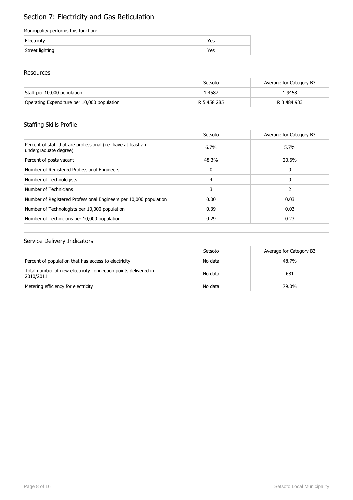## Section 7: Electricity and Gas Reticulation

#### Municipality performs this function:

| Electricity     | Yes |
|-----------------|-----|
| Street lighting | Yes |

### Resources

|                                             | Setsoto     | Average for Category B3 |
|---------------------------------------------|-------------|-------------------------|
| Staff per 10,000 population                 | 1.4587      | 1.9458                  |
| Operating Expenditure per 10,000 population | R 5 458 285 | R 3 484 933             |

## Staffing Skills Profile

|                                                                                        | Setsoto  | Average for Category B3 |
|----------------------------------------------------------------------------------------|----------|-------------------------|
| Percent of staff that are professional (i.e. have at least an<br>undergraduate degree) | 6.7%     | 5.7%                    |
| Percent of posts vacant                                                                | 48.3%    | 20.6%                   |
| Number of Registered Professional Engineers                                            | $\Omega$ | 0                       |
| Number of Technologists                                                                | 4        | 0                       |
| Number of Technicians                                                                  | 3        |                         |
| Number of Registered Professional Engineers per 10,000 population                      | 0.00     | 0.03                    |
| Number of Technologists per 10,000 population                                          | 0.39     | 0.03                    |
| Number of Technicians per 10,000 population                                            | 0.29     | 0.23                    |

|                                                                             | Setsoto | Average for Category B3 |
|-----------------------------------------------------------------------------|---------|-------------------------|
| Percent of population that has access to electricity                        | No data | 48.7%                   |
| Total number of new electricity connection points delivered in<br>2010/2011 | No data | 681                     |
| Metering efficiency for electricity                                         | No data | 79.0%                   |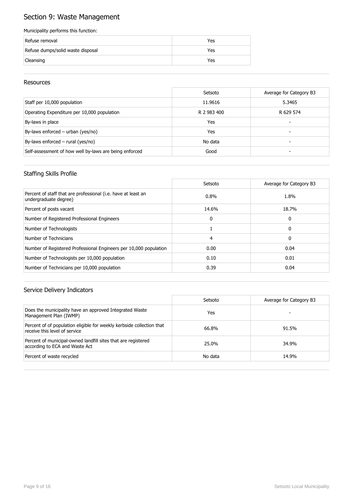## Section 9: Waste Management

#### Municipality performs this function:

| Refuse removal                    | Yes |
|-----------------------------------|-----|
| Refuse dumps/solid waste disposal | Yes |
| Cleansing                         | Yes |

### Resources

|                                                        | Setsoto     | Average for Category B3 |
|--------------------------------------------------------|-------------|-------------------------|
| Staff per 10,000 population                            | 11.9616     | 5.3465                  |
| Operating Expenditure per 10,000 population            | R 2 983 400 | R 629 574               |
| By-laws in place                                       | Yes         | -                       |
| By-laws enforced - urban (yes/no)                      | Yes         | -                       |
| By-laws enforced $-$ rural (yes/no)                    | No data     |                         |
| Self-assessment of how well by-laws are being enforced | Good        |                         |

### Staffing Skills Profile

|                                                                                        | Setsoto | Average for Category B3 |
|----------------------------------------------------------------------------------------|---------|-------------------------|
| Percent of staff that are professional (i.e. have at least an<br>undergraduate degree) | $0.8\%$ | 1.8%                    |
| Percent of posts vacant                                                                | 14.6%   | 18.7%                   |
| Number of Registered Professional Engineers                                            | 0       | 0                       |
| Number of Technologists                                                                |         | 0                       |
| Number of Technicians                                                                  | 4       | 0                       |
| Number of Registered Professional Engineers per 10,000 population                      | 0.00    | 0.04                    |
| Number of Technologists per 10,000 population                                          | 0.10    | 0.01                    |
| Number of Technicians per 10,000 population                                            | 0.39    | 0.04                    |

|                                                                                                        | Setsoto | Average for Category B3 |
|--------------------------------------------------------------------------------------------------------|---------|-------------------------|
| Does the municipality have an approved Integrated Waste<br>Management Plan (IWMP)                      | Yes     |                         |
| Percent of of population eligible for weekly kerbside collection that<br>receive this level of service | 66.8%   | 91.5%                   |
| Percent of municipal-owned landfill sites that are registered<br>according to ECA and Waste Act        | 25.0%   | 34.9%                   |
| Percent of waste recycled                                                                              | No data | 14.9%                   |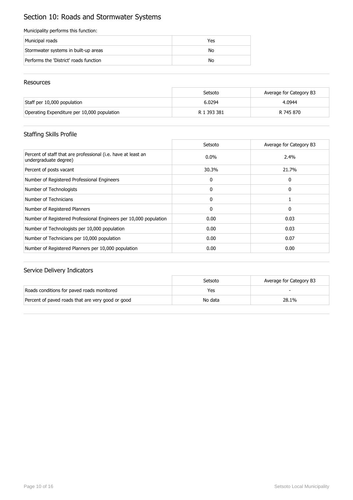## Section 10: Roads and Stormwater Systems

#### Municipality performs this function:

| Municipal roads                        | Yes |
|----------------------------------------|-----|
| Stormwater systems in built-up areas   | No  |
| Performs the 'District' roads function | No  |

### Resources

|                                             | Setsoto     | Average for Category B3 |
|---------------------------------------------|-------------|-------------------------|
| Staff per 10,000 population                 | 6.0294      | 4.0944                  |
| Operating Expenditure per 10,000 population | R 1 393 381 | R 745 870               |

### Staffing Skills Profile

|                                                                                        | Setsoto      | Average for Category B3 |
|----------------------------------------------------------------------------------------|--------------|-------------------------|
| Percent of staff that are professional (i.e. have at least an<br>undergraduate degree) | $0.0\%$      | 2.4%                    |
| Percent of posts vacant                                                                | 30.3%        | 21.7%                   |
| Number of Registered Professional Engineers                                            | 0            | 0                       |
| Number of Technologists                                                                | $\mathbf{0}$ | 0                       |
| Number of Technicians                                                                  | $\mathbf{0}$ |                         |
| Number of Registered Planners                                                          | $\mathbf{0}$ | 0                       |
| Number of Registered Professional Engineers per 10,000 population                      | 0.00         | 0.03                    |
| Number of Technologists per 10,000 population                                          | 0.00         | 0.03                    |
| Number of Technicians per 10,000 population                                            | 0.00         | 0.07                    |
| Number of Registered Planners per 10,000 population                                    | 0.00         | 0.00                    |

|                                                   | Setsoto | Average for Category B3 |
|---------------------------------------------------|---------|-------------------------|
| Roads conditions for paved roads monitored        | Yes     |                         |
| Percent of paved roads that are very good or good | No data | 28.1%                   |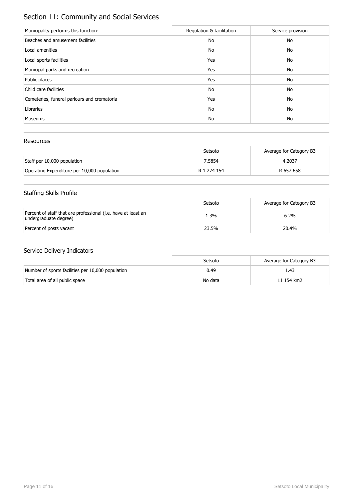## Section 11: Community and Social Services

| Municipality performs this function:        | Regulation & facilitation | Service provision |
|---------------------------------------------|---------------------------|-------------------|
| Beaches and amusement facilities            | No                        | No                |
| Local amenities                             | No                        | No                |
| Local sports facilities                     | Yes                       | No                |
| Municipal parks and recreation              | Yes                       | No                |
| Public places                               | Yes                       | No                |
| Child care facilities                       | No                        | No                |
| Cemeteries, funeral parlours and crematoria | Yes                       | No                |
| Libraries                                   | No                        | No                |
| <b>Museums</b>                              | No                        | No                |

### Resources

|                                             | Setsoto     | Average for Category B3 |
|---------------------------------------------|-------------|-------------------------|
| Staff per 10,000 population                 | 7.5854      | 4.2037                  |
| Operating Expenditure per 10,000 population | R 1 274 154 | R 657 658               |

## Staffing Skills Profile

|                                                                                        | Setsoto | Average for Category B3 |
|----------------------------------------------------------------------------------------|---------|-------------------------|
| Percent of staff that are professional (i.e. have at least an<br>undergraduate degree) | 1.3%    | 6.2%                    |
| Percent of posts vacant                                                                | 23.5%   | 20.4%                   |

|                                                   | Setsoto | Average for Category B3 |
|---------------------------------------------------|---------|-------------------------|
| Number of sports facilities per 10,000 population | 0.49    | 1.43                    |
| Total area of all public space                    | No data | 11 154 km2              |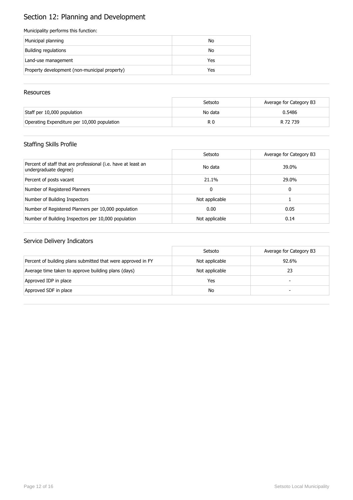# Section 12: Planning and Development

#### Municipality performs this function:

| Municipal planning                            | No  |
|-----------------------------------------------|-----|
| Building regulations                          | No  |
| Land-use management                           | Yes |
| Property development (non-municipal property) | Yes |

### **Resources**

|                                             | Setsoto | Average for Category B3 |
|---------------------------------------------|---------|-------------------------|
| Staff per 10,000 population                 | No data | 0.5486                  |
| Operating Expenditure per 10,000 population | R 0     | R 72 739                |

## Staffing Skills Profile

|                                                                                        | Setsoto        | Average for Category B3 |
|----------------------------------------------------------------------------------------|----------------|-------------------------|
| Percent of staff that are professional (i.e. have at least an<br>undergraduate degree) | No data        | 39.0%                   |
| Percent of posts vacant                                                                | 21.1%          | 29.0%                   |
| Number of Registered Planners                                                          | 0              | 0                       |
| Number of Building Inspectors                                                          | Not applicable |                         |
| Number of Registered Planners per 10,000 population                                    | 0.00           | 0.05                    |
| Number of Building Inspectors per 10,000 population                                    | Not applicable | 0.14                    |

|                                                              | Setsoto        | Average for Category B3 |
|--------------------------------------------------------------|----------------|-------------------------|
| Percent of building plans submitted that were approved in FY | Not applicable | 92.6%                   |
| Average time taken to approve building plans (days)          | Not applicable | 23                      |
| Approved IDP in place                                        | Yes            | -                       |
| Approved SDF in place                                        | No             | -                       |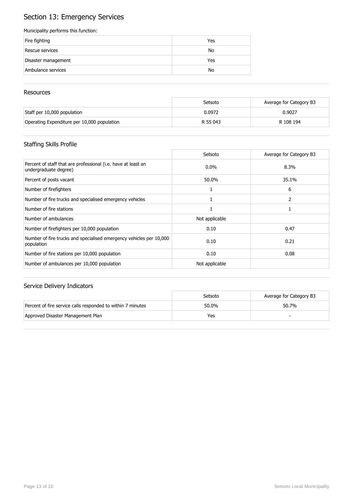## Section 13: Emergency Services

#### Municipality performs this function:

| Fire fighting       | Yes |
|---------------------|-----|
| Rescue services     | No  |
| Disaster management | Yes |
| Ambulance services  | No  |

### **Resources**

|                                             | Setsoto  | Average for Category B3 |
|---------------------------------------------|----------|-------------------------|
| Staff per 10,000 population                 | 0.0972   | 0.9027                  |
| Operating Expenditure per 10,000 population | R 55 043 | R 108 194               |

## Staffing Skills Profile

|                                                                                        | Setsoto        | Average for Category B3 |
|----------------------------------------------------------------------------------------|----------------|-------------------------|
| Percent of staff that are professional (i.e. have at least an<br>undergraduate degree) | $0.0\%$        | 8.3%                    |
| Percent of posts vacant                                                                | 50.0%          | 35.1%                   |
| Number of firefighters                                                                 |                | 6                       |
| Number of fire trucks and specialised emergency vehicles                               |                | 2                       |
| Number of fire stations                                                                |                |                         |
| Number of ambulances                                                                   | Not applicable |                         |
| Number of firefighters per 10,000 population                                           | 0.10           | 0.47                    |
| Number of fire trucks and specialised emergency vehicles per 10,000<br>population      | 0.10           | 0.21                    |
| Number of fire stations per 10,000 population                                          | 0.10           | 0.08                    |
| Number of ambulances per 10,000 population                                             | Not applicable |                         |

|                                                             | Setsoto | Average for Category B3 |
|-------------------------------------------------------------|---------|-------------------------|
| Percent of fire service calls responded to within 7 minutes | 50.0%   | 50.7%                   |
| Approved Disaster Management Plan                           | Yes     |                         |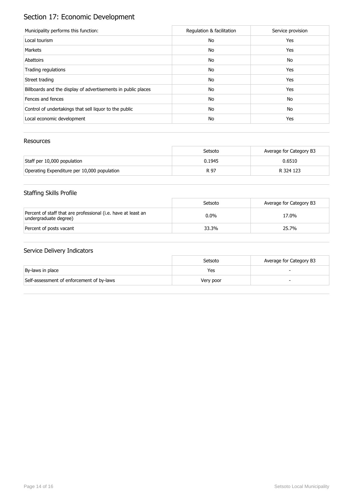# Section 17: Economic Development

| Municipality performs this function:                          | Regulation & facilitation | Service provision |
|---------------------------------------------------------------|---------------------------|-------------------|
| Local tourism                                                 | No                        | Yes               |
| Markets                                                       | No                        | Yes               |
| Abattoirs                                                     | No                        | No                |
| Trading regulations                                           | No                        | Yes               |
| Street trading                                                | No                        | Yes               |
| Billboards and the display of advertisements in public places | No                        | Yes               |
| Fences and fences                                             | No                        | No                |
| Control of undertakings that sell liquor to the public        | No                        | No                |
| Local economic development                                    | No                        | Yes               |

### Resources

|                                             | Setsoto | Average for Category B3 |
|---------------------------------------------|---------|-------------------------|
| Staff per 10,000 population                 | 0.1945  | 0.6510                  |
| Operating Expenditure per 10,000 population | R 97    | R 324 123               |

## Staffing Skills Profile

|                                                                                        | Setsoto | Average for Category B3 |
|----------------------------------------------------------------------------------------|---------|-------------------------|
| Percent of staff that are professional (i.e. have at least an<br>undergraduate degree) | $0.0\%$ | 17.0%                   |
| Percent of posts vacant                                                                | 33.3%   | 25.7%                   |

|                                           | Setsoto   | Average for Category B3 |
|-------------------------------------------|-----------|-------------------------|
| By-laws in place                          | Yes       |                         |
| Self-assessment of enforcement of by-laws | Very poor |                         |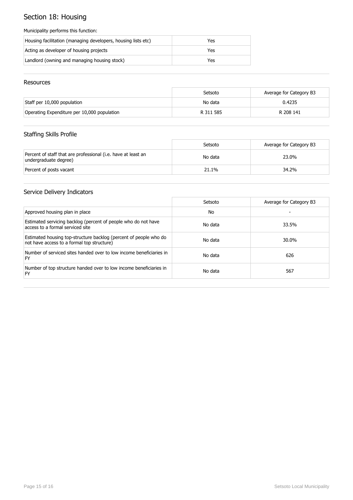## Section 18: Housing

#### Municipality performs this function:

| Housing facilitation (managing developers, housing lists etc) | Yes |
|---------------------------------------------------------------|-----|
| Acting as developer of housing projects                       | Yes |
| Landlord (owning and managing housing stock)                  | Yes |

### Resources

|                                             | Setsoto   | Average for Category B3 |
|---------------------------------------------|-----------|-------------------------|
| Staff per 10,000 population                 | No data   | 0.4235                  |
| Operating Expenditure per 10,000 population | R 311 585 | R 208 141               |

## Staffing Skills Profile

|                                                                                        | Setsoto | Average for Category B3 |
|----------------------------------------------------------------------------------------|---------|-------------------------|
| Percent of staff that are professional (i.e. have at least an<br>undergraduate degree) | No data | 23.0%                   |
| Percent of posts vacant                                                                | 21.1%   | 34.2%                   |

|                                                                                                                 | Setsoto | Average for Category B3 |
|-----------------------------------------------------------------------------------------------------------------|---------|-------------------------|
| Approved housing plan in place                                                                                  | No.     |                         |
| Estimated servicing backlog (percent of people who do not have<br>access to a formal serviced site              | No data | 33.5%                   |
| Estimated housing top-structure backlog (percent of people who do<br>not have access to a formal top structure) | No data | 30.0%                   |
| Number of serviced sites handed over to low income beneficiaries in<br>FY                                       | No data | 626                     |
| Number of top structure handed over to low income beneficiaries in<br>FY                                        | No data | 567                     |